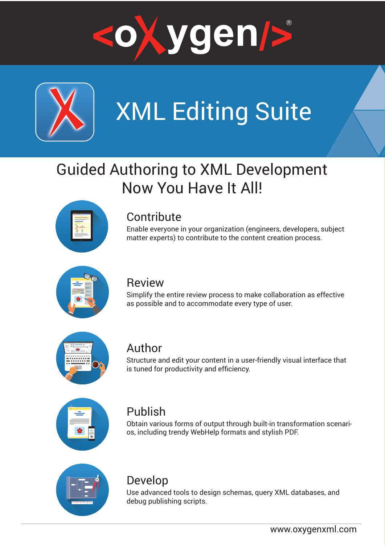



# XML Editing Suite

## Guided Authoring to XML Development Now You Have It All!



## **Contribute**

Enable everyone in your organization (engineers, developers, subject matter experts) to contribute to the content creation process.



### Review

Simplify the entire review process to make collaboration as effective as possible and to accommodate every type of user.



### Author

Structure and edit your content in a user-friendly visual interface that is tuned for productivity and efficiency.



## Publish

Obtain various forms of output through built-in transformation scenarios, including trendy WebHelp formats and stylish PDF.



## Develop

Use advanced tools to design schemas, query XML databases, and debug publishing scripts.